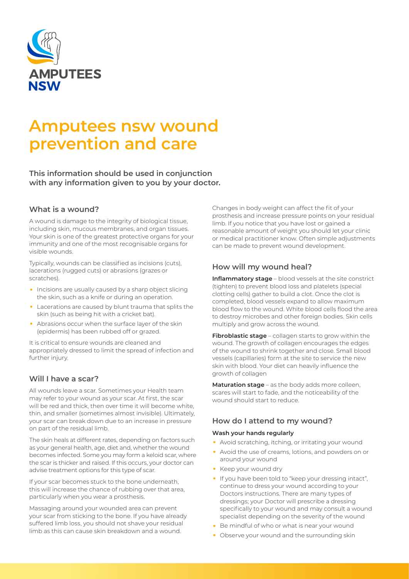

# **Amputees nsw wound prevention and care**

**This information should be used in conjunction with any information given to you by your doctor.**

#### **What is a wound?**

A wound is damage to the integrity of biological tissue, including skin, mucous membranes, and organ tissues. Your skin is one of the greatest protective organs for your immunity and one of the most recognisable organs for visible wounds.

Typically, wounds can be classified as incisions (cuts), lacerations (rugged cuts) or abrasions (grazes or scratches).

- Incisions are usually caused by a sharp object slicing the skin, such as a knife or during an operation.
- Lacerations are caused by blunt trauma that splits the skin (such as being hit with a cricket bat).
- Abrasions occur when the surface layer of the skin (epidermis) has been rubbed off or grazed.

It is critical to ensure wounds are cleaned and appropriately dressed to limit the spread of infection and further injury.

# **Will I have a scar?**

All wounds leave a scar. Sometimes your Health team may refer to your wound as your scar. At first, the scar will be red and thick, then over time it will become white, thin, and smaller (sometimes almost invisible). Ultimately, your scar can break down due to an increase in pressure on part of the residual limb.

The skin heals at different rates, depending on factors such as your general health, age, diet and, whether the wound becomes infected. Some you may form a keloid scar, where the scar is thicker and raised. If this occurs, your doctor can advise treatment options for this type of scar.

If your scar becomes stuck to the bone underneath, this will increase the chance of rubbing over that area, particularly when you wear a prosthesis.

Massaging around your wounded area can prevent your scar from sticking to the bone. If you have already suffered limb loss, you should not shave your residual limb as this can cause skin breakdown and a wound.

Changes in body weight can affect the fit of your prosthesis and increase pressure points on your residual limb. If you notice that you have lost or gained a reasonable amount of weight you should let your clinic or medical practitioner know. Often simple adjustments can be made to prevent wound development.

# **How will my wound heal?**

**Inflammatory stage** – blood vessels at the site constrict (tighten) to prevent blood loss and platelets (special clotting cells) gather to build a clot. Once the clot is completed, blood vessels expand to allow maximum blood flow to the wound. White blood cells flood the area to destroy microbes and other foreign bodies. Skin cells multiply and grow across the wound.

**Fibroblastic stage** – collagen starts to grow within the wound. The growth of collagen encourages the edges of the wound to shrink together and close. Small blood vessels (capillaries) form at the site to service the new skin with blood. Your diet can heavily influence the growth of collagen

**Maturation stage** – as the body adds more colleen, scares will start to fade, and the noticeability of the wound should start to reduce.

# **How do I attend to my wound?**

#### **Wash your hands regularly**

- Avoid scratching, itching, or irritating your wound
- Avoid the use of creams, lotions, and powders on or around your wound
- Keep your wound dry
- If you have been told to "keep your dressing intact", continue to dress your wound according to your Doctors instructions. There are many types of dressings; your Doctor will prescribe a dressing specifically to your wound and may consult a wound specialist depending on the severity of the wound
- Be mindful of who or what is near your wound
- Observe your wound and the surrounding skin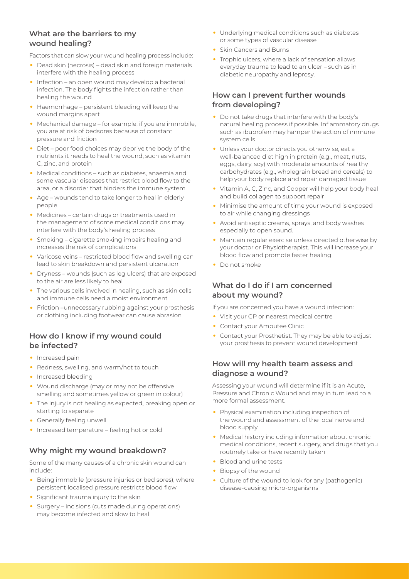# **What are the barriers to my wound healing?**

Factors that can slow your wound healing process include:

- Dead skin (necrosis) dead skin and foreign materials interfere with the healing process
- Infection an open wound may develop a bacterial infection. The body fights the infection rather than healing the wound
- Haemorrhage persistent bleeding will keep the wound margins apart
- Mechanical damage for example, if you are immobile. you are at risk of bedsores because of constant pressure and friction
- Diet poor food choices may deprive the body of the nutrients it needs to heal the wound, such as vitamin C, zinc, and protein
- Medical conditions such as diabetes, anaemia and some vascular diseases that restrict blood flow to the area, or a disorder that hinders the immune system
- Age wounds tend to take longer to heal in elderly people
- Medicines certain drugs or treatments used in the management of some medical conditions may interfere with the body's healing process
- Smoking cigarette smoking impairs healing and increases the risk of complications
- Varicose veins restricted blood flow and swelling can lead to skin breakdown and persistent ulceration
- Dryness wounds (such as leg ulcers) that are exposed to the air are less likely to heal
- The various cells involved in healing, such as skin cells and immune cells need a moist environment
- Friction –unnecessary rubbing against your prosthesis or clothing including footwear can cause abrasion

# **How do I know if my wound could be infected?**

- Increased pain
- Redness, swelling, and warm/hot to touch
- Increased bleeding
- Wound discharge (may or may not be offensive smelling and sometimes yellow or green in colour)
- The injury is not healing as expected, breaking open or starting to separate
- Generally feeling unwell
- Increased temperature feeling hot or cold

# **Why might my wound breakdown?**

Some of the many causes of a chronic skin wound can include:

- Being immobile (pressure injuries or bed sores), where persistent localised pressure restricts blood flow
- Significant trauma injury to the skin
- Surgery incisions (cuts made during operations) may become infected and slow to heal
- Underlying medical conditions such as diabetes or some types of vascular disease
- Skin Cancers and Burns
- Trophic ulcers, where a lack of sensation allows everyday trauma to lead to an ulcer – such as in diabetic neuropathy and leprosy.

### **How can I prevent further wounds from developing?**

- Do not take drugs that interfere with the body's natural healing process if possible. Inflammatory drugs such as ibuprofen may hamper the action of immune system cells
- Unless your doctor directs you otherwise, eat a well-balanced diet high in protein (e.g., meat, nuts, eggs, dairy, soy) with moderate amounts of healthy carbohydrates (e.g., wholegrain bread and cereals) to help your body replace and repair damaged tissue
- Vitamin A, C, Zinc, and Copper will help your body heal and build collagen to support repair
- Minimise the amount of time your wound is exposed to air while changing dressings
- Avoid antiseptic creams, sprays, and body washes especially to open sound.
- Maintain regular exercise unless directed otherwise by your doctor or Physiotherapist. This will increase your blood flow and promote faster healing
- Do not smoke

# **What do I do if I am concerned about my wound?**

If you are concerned you have a wound infection:

- Visit your GP or nearest medical centre
- Contact your Amputee Clinic
- Contact your Prosthetist. They may be able to adjust your prosthesis to prevent wound development

# **How will my health team assess and diagnose a wound?**

Assessing your wound will determine if it is an Acute, Pressure and Chronic Wound and may in turn lead to a more formal assessment.

- Physical examination including inspection of the wound and assessment of the local nerve and blood supply
- Medical history including information about chronic medical conditions, recent surgery, and drugs that you routinely take or have recently taken
- Blood and urine tests
- Biopsy of the wound
- Culture of the wound to look for any (pathogenic) disease-causing micro-organisms